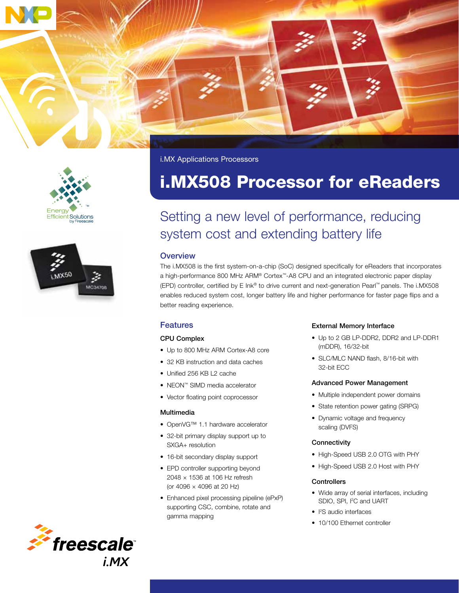



i.MX Applications Processors

# i.MX508 Processor for eReaders

## Setting a new level of performance, reducing system cost and extending battery life

#### **Overview**

The i.MX508 is the first system-on-a-chip (SoC) designed specifically for eReaders that incorporates a high-performance 800 MHz ARM® Cortex™-A8 CPU and an integrated electronic paper display (EPD) controller, certified by E Ink® to drive current and next-generation Pearl™ panels. The i.MX508 enables reduced system cost, longer battery life and higher performance for faster page flips and a better reading experience.

## Features

#### CPU Complex

- Up to 800 MHz ARM Cortex-A8 core
- 32 KB instruction and data caches
- Unified 256 KB L2 cache
- NEON™ SIMD media accelerator
- Vector floating point coprocessor

#### Multimedia

- OpenVG™ 1.1 hardware accelerator
- 32-bit primary display support up to SXGA+ resolution
- 16-bit secondary display support
- EPD controller supporting beyond 2048 × 1536 at 106 Hz refresh (or 4096 × 4096 at 20 Hz)
- Enhanced pixel processing pipeline (ePxP) supporting CSC, combine, rotate and gamma mapping

#### External Memory Interface

- Up to 2 GB LP-DDR2, DDR2 and LP-DDR1 (mDDR), 16/32-bit
- SLC/MLC NAND flash, 8/16-bit with 32-bit ECC

#### Advanced Power Management

- Multiple independent power domains
- State retention power gating (SRPG)
- Dynamic voltage and frequency scaling (DVFS)

#### **Connectivity**

- High-Speed USB 2.0 OTG with PHY
- High-Speed USB 2.0 Host with PHY

#### **Controllers**

- Wide array of serial interfaces, including SDIO, SPI, I<sup>2</sup>C and UART
- I 2 S audio interfaces
- 10/100 Ethernet controller

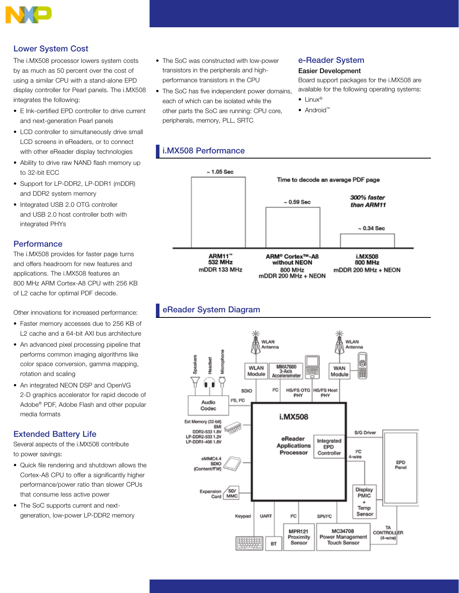

## Lower System Cost

The i.MX508 processor lowers system costs by as much as 50 percent over the cost of using a similar CPU with a stand-alone EPD display controller for Pearl panels. The i.MX508 integrates the following:

- E Ink-certified EPD controller to drive current and next-generation Pearl panels
- LCD controller to simultaneously drive small LCD screens in eReaders, or to connect with other eReader display technologies
- Ability to drive raw NAND flash memory up to 32-bit ECC
- Support for LP-DDR2, LP-DDR1 (mDDR) and DDR2 system memory
- Integrated USB 2.0 OTG controller and USB 2.0 host controller both with integrated PHYs

### **Performance**

The i.MX508 provides for faster page turns and offers headroom for new features and applications. The i.MX508 features an 800 MHz ARM Cortex-A8 CPU with 256 KB of L2 cache for optimal PDF decode.

Other innovations for increased performance:

- Faster memory accesses due to 256 KB of L2 cache and a 64-bit AXI bus architecture
- An advanced pixel processing pipeline that performs common imaging algorithms like color space conversion, gamma mapping, rotation and scaling
- An integrated NEON DSP and OpenVG 2-D graphics accelerator for rapid decode of Adobe® PDF, Adobe Flash and other popular media formats

## Extended Battery Life

Several aspects of the i.MX508 contribute to power savings:

- Quick file rendering and shutdown allows the Cortex-A8 CPU to offer a significantly higher performance/power ratio than slower CPUs that consume less active power
- The SoC supports current and nextgeneration, low-power LP-DDR2 memory
- The SoC was constructed with low-power transistors in the peripherals and highperformance transistors in the CPU
- The SoC has five independent power domains, each of which can be isolated while the other parts the SoC are running: CPU core, peripherals, memory, PLL, SRTC

## e-Reader System

#### Easier Development

Board support packages for the i.MX508 are available for the following operating systems:

- Linux<sup>®</sup>
- Android™

## i.MX508 Performance



## eReader System Diagram